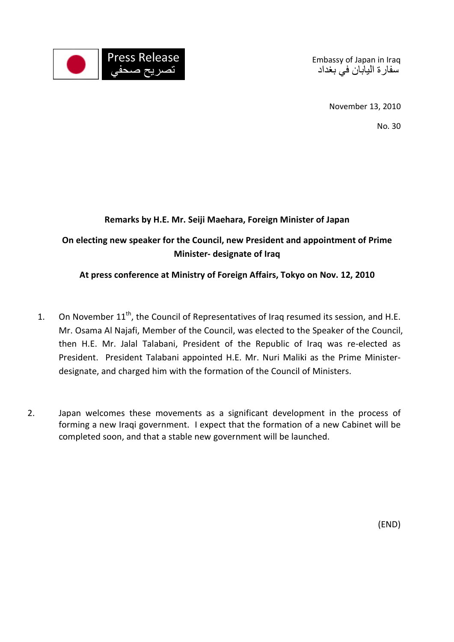

Embassy of Japan in Iraq سفار ة اليابان في بغداد

November 13, 2010

No. 30

## **Remarks by H.E. Mr. Seiji Maehara, Foreign Minister of Japan**

**On electing new speaker for the Council, new President and appointment of Prime Minister- designate of Iraq** 

## **At press conference at Ministry of Foreign Affairs, Tokyo on Nov. 12, 2010**

- 1. On November  $11^{th}$ , the Council of Representatives of Iraq resumed its session, and H.E. Mr. Osama Al Najafi, Member of the Council, was elected to the Speaker of the Council, then H.E. Mr. Jalal Talabani, President of the Republic of Iraq was re-elected as President. President Talabani appointed H.E. Mr. Nuri Maliki as the Prime Ministerdesignate, and charged him with the formation of the Council of Ministers.
- 2. Japan welcomes these movements as a significant development in the process of forming a new Iraqi government. I expect that the formation of a new Cabinet will be completed soon, and that a stable new government will be launched.

(END)